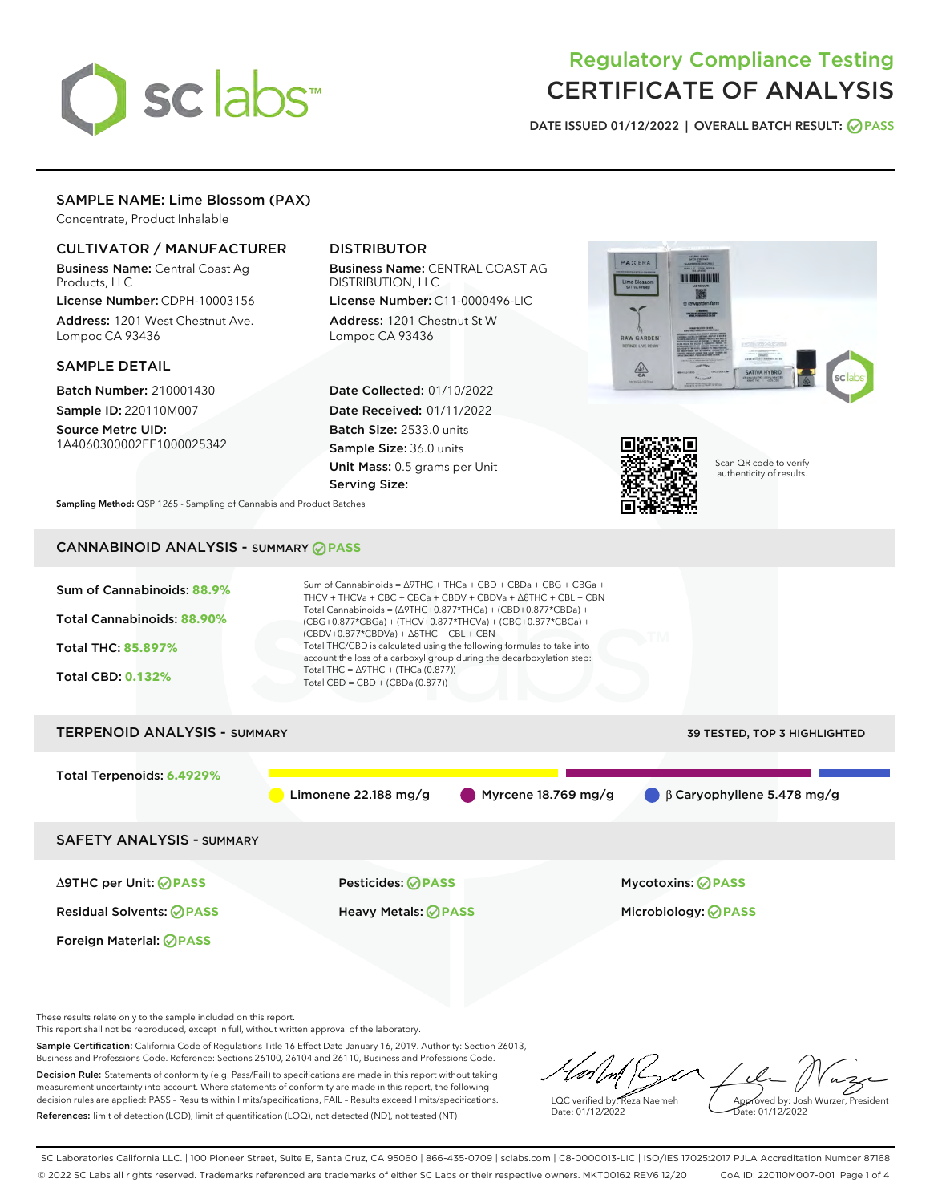

# Regulatory Compliance Testing CERTIFICATE OF ANALYSIS

DATE ISSUED 01/12/2022 | OVERALL BATCH RESULT: @ PASS

# SAMPLE NAME: Lime Blossom (PAX)

Concentrate, Product Inhalable

## CULTIVATOR / MANUFACTURER

Business Name: Central Coast Ag Products, LLC

License Number: CDPH-10003156 Address: 1201 West Chestnut Ave. Lompoc CA 93436

#### SAMPLE DETAIL

Batch Number: 210001430 Sample ID: 220110M007

Source Metrc UID: 1A4060300002EE1000025342

# DISTRIBUTOR

Business Name: CENTRAL COAST AG DISTRIBUTION, LLC License Number: C11-0000496-LIC

Address: 1201 Chestnut St W Lompoc CA 93436

Date Collected: 01/10/2022 Date Received: 01/11/2022 Batch Size: 2533.0 units Sample Size: 36.0 units Unit Mass: 0.5 grams per Unit Serving Size:





Scan QR code to verify authenticity of results.

Sampling Method: QSP 1265 - Sampling of Cannabis and Product Batches

# CANNABINOID ANALYSIS - SUMMARY **PASS**



This report shall not be reproduced, except in full, without written approval of the laboratory.

Sample Certification: California Code of Regulations Title 16 Effect Date January 16, 2019. Authority: Section 26013, Business and Professions Code. Reference: Sections 26100, 26104 and 26110, Business and Professions Code. Decision Rule: Statements of conformity (e.g. Pass/Fail) to specifications are made in this report without taking measurement uncertainty into account. Where statements of conformity are made in this report, the following

References: limit of detection (LOD), limit of quantification (LOQ), not detected (ND), not tested (NT)

decision rules are applied: PASS – Results within limits/specifications, FAIL – Results exceed limits/specifications.

LQC verified by: Reza Naemeh Date: 01/12/2022 Approved by: Josh Wurzer, President ate: 01/12/2022

SC Laboratories California LLC. | 100 Pioneer Street, Suite E, Santa Cruz, CA 95060 | 866-435-0709 | sclabs.com | C8-0000013-LIC | ISO/IES 17025:2017 PJLA Accreditation Number 87168 © 2022 SC Labs all rights reserved. Trademarks referenced are trademarks of either SC Labs or their respective owners. MKT00162 REV6 12/20 CoA ID: 220110M007-001 Page 1 of 4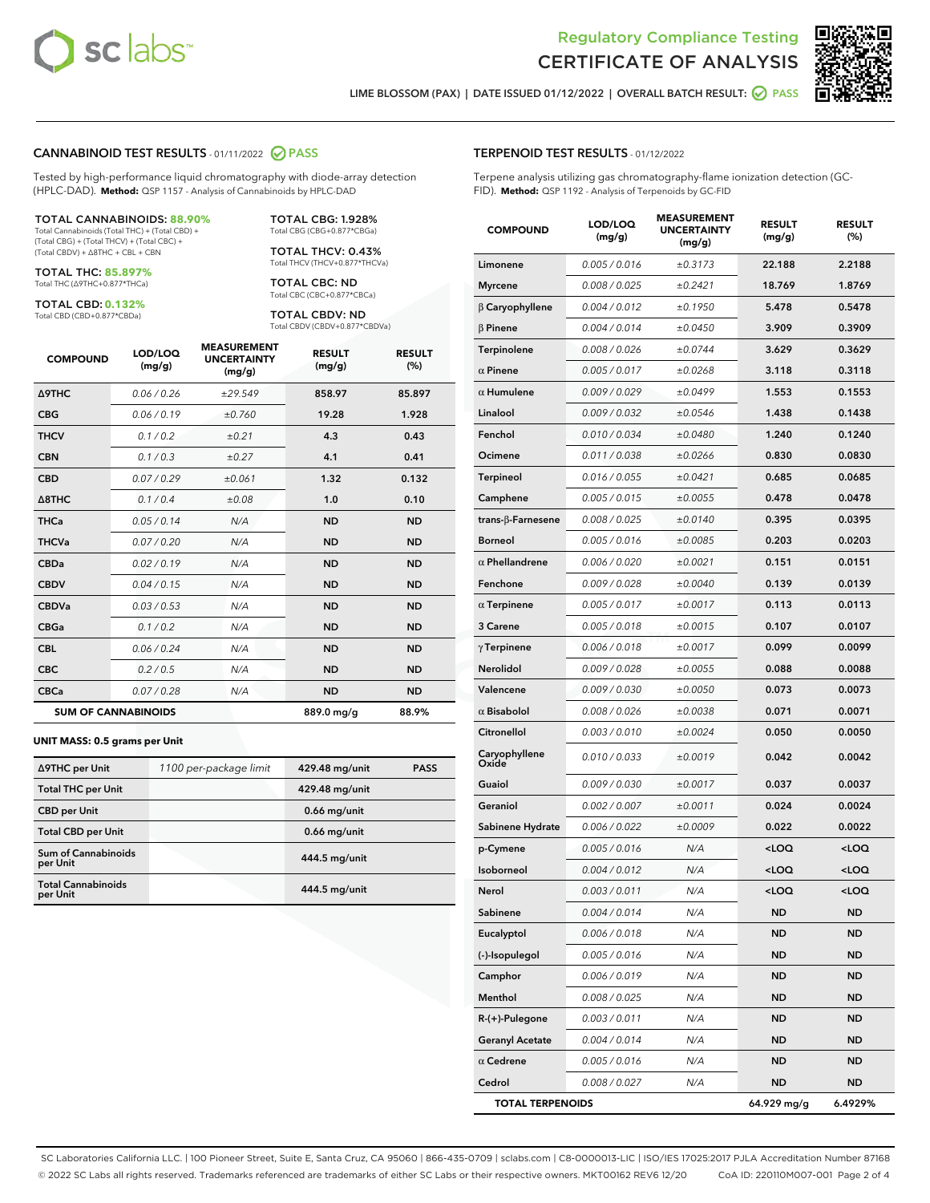



LIME BLOSSOM (PAX) | DATE ISSUED 01/12/2022 | OVERALL BATCH RESULT: **⊘** PASS

#### CANNABINOID TEST RESULTS - 01/11/2022 2 PASS

Tested by high-performance liquid chromatography with diode-array detection (HPLC-DAD). **Method:** QSP 1157 - Analysis of Cannabinoids by HPLC-DAD

#### TOTAL CANNABINOIDS: **88.90%**

Total Cannabinoids (Total THC) + (Total CBD) + (Total CBG) + (Total THCV) + (Total CBC) + (Total CBDV) + ∆8THC + CBL + CBN

TOTAL THC: **85.897%** Total THC (∆9THC+0.877\*THCa)

TOTAL CBD: **0.132%** Total CBD (CBD+0.877\*CBDa)

TOTAL THCV: 0.43% Total THCV (THCV+0.877\*THCVa)

> TOTAL CBC: ND Total CBC (CBC+0.877\*CBCa)

TOTAL CBG: 1.928% Total CBG (CBG+0.877\*CBGa)

TOTAL CBDV: ND Total CBDV (CBDV+0.877\*CBDVa)

| <b>COMPOUND</b>            | LOD/LOQ<br>(mg/g) | <b>MEASUREMENT</b><br><b>UNCERTAINTY</b><br>(mg/g) | <b>RESULT</b><br>(mg/g) | <b>RESULT</b><br>(%) |
|----------------------------|-------------------|----------------------------------------------------|-------------------------|----------------------|
| <b>A9THC</b>               | 0.06/0.26         | ±29.549                                            | 858.97                  | 85.897               |
| <b>CBG</b>                 | 0.06/0.19         | ±0.760                                             | 19.28                   | 1.928                |
| <b>THCV</b>                | 0.1/0.2           | ±0.21                                              | 4.3                     | 0.43                 |
| <b>CBN</b>                 | 0.1/0.3           | ±0.27                                              | 4.1                     | 0.41                 |
| <b>CBD</b>                 | 0.07/0.29         | ±0.061                                             | 1.32                    | 0.132                |
| $\triangle$ 8THC           | 0.1 / 0.4         | ±0.08                                              | 1.0                     | 0.10                 |
| <b>THCa</b>                | 0.05/0.14         | N/A                                                | <b>ND</b>               | <b>ND</b>            |
| <b>THCVa</b>               | 0.07 / 0.20       | N/A                                                | <b>ND</b>               | <b>ND</b>            |
| <b>CBDa</b>                | 0.02/0.19         | N/A                                                | <b>ND</b>               | <b>ND</b>            |
| <b>CBDV</b>                | 0.04 / 0.15       | N/A                                                | <b>ND</b>               | <b>ND</b>            |
| <b>CBDVa</b>               | 0.03/0.53         | N/A                                                | <b>ND</b>               | <b>ND</b>            |
| <b>CBGa</b>                | 0.1/0.2           | N/A                                                | <b>ND</b>               | <b>ND</b>            |
| <b>CBL</b>                 | 0.06 / 0.24       | N/A                                                | <b>ND</b>               | <b>ND</b>            |
| <b>CBC</b>                 | 0.2 / 0.5         | N/A                                                | <b>ND</b>               | <b>ND</b>            |
| <b>CBCa</b>                | 0.07/0.28         | N/A                                                | <b>ND</b>               | <b>ND</b>            |
| <b>SUM OF CANNABINOIDS</b> |                   |                                                    | 889.0 mg/g              | 88.9%                |

#### **UNIT MASS: 0.5 grams per Unit**

| ∆9THC per Unit                         | 1100 per-package limit | 429.48 mg/unit | <b>PASS</b> |
|----------------------------------------|------------------------|----------------|-------------|
| <b>Total THC per Unit</b>              |                        | 429.48 mg/unit |             |
| <b>CBD per Unit</b>                    |                        | $0.66$ mg/unit |             |
| <b>Total CBD per Unit</b>              |                        | $0.66$ mg/unit |             |
| <b>Sum of Cannabinoids</b><br>per Unit |                        | 444.5 mg/unit  |             |
| <b>Total Cannabinoids</b><br>per Unit  |                        | 444.5 mg/unit  |             |

# TERPENOID TEST RESULTS - 01/12/2022

Terpene analysis utilizing gas chromatography-flame ionization detection (GC-FID). **Method:** QSP 1192 - Analysis of Terpenoids by GC-FID

| <b>COMPOUND</b>         | LOD/LOQ<br>(mg/g) | <b>MEASUREMENT</b><br><b>UNCERTAINTY</b><br>(mg/g) | <b>RESULT</b><br>(mg/g)                         | <b>RESULT</b><br>(%) |
|-------------------------|-------------------|----------------------------------------------------|-------------------------------------------------|----------------------|
| Limonene                | 0.005 / 0.016     | ±0.3173                                            | 22.188                                          | 2.2188               |
| <b>Myrcene</b>          | 0.008 / 0.025     | ±0.2421                                            | 18.769                                          | 1.8769               |
| $\beta$ Caryophyllene   | 0.004 / 0.012     | ±0.1950                                            | 5.478                                           | 0.5478               |
| $\beta$ Pinene          | 0.004 / 0.014     | ±0.0450                                            | 3.909                                           | 0.3909               |
| Terpinolene             | 0.008 / 0.026     | ±0.0744                                            | 3.629                                           | 0.3629               |
| $\alpha$ Pinene         | 0.005 / 0.017     | ±0.0268                                            | 3.118                                           | 0.3118               |
| $\alpha$ Humulene       | 0.009 / 0.029     | ±0.0499                                            | 1.553                                           | 0.1553               |
| Linalool                | 0.009 / 0.032     | ±0.0546                                            | 1.438                                           | 0.1438               |
| Fenchol                 | 0.010 / 0.034     | ±0.0480                                            | 1.240                                           | 0.1240               |
| Ocimene                 | 0.011 / 0.038     | ±0.0266                                            | 0.830                                           | 0.0830               |
| Terpineol               | 0.016 / 0.055     | ±0.0421                                            | 0.685                                           | 0.0685               |
| Camphene                | 0.005 / 0.015     | ±0.0055                                            | 0.478                                           | 0.0478               |
| trans-ß-Farnesene       | 0.008 / 0.025     | ±0.0140                                            | 0.395                                           | 0.0395               |
| <b>Borneol</b>          | 0.005 / 0.016     | ±0.0085                                            | 0.203                                           | 0.0203               |
| $\alpha$ Phellandrene   | 0.006 / 0.020     | ±0.0021                                            | 0.151                                           | 0.0151               |
| Fenchone                | 0.009 / 0.028     | ±0.0040                                            | 0.139                                           | 0.0139               |
| $\alpha$ Terpinene      | 0.005 / 0.017     | ±0.0017                                            | 0.113                                           | 0.0113               |
| 3 Carene                | 0.005 / 0.018     | ±0.0015                                            | 0.107                                           | 0.0107               |
| $\gamma$ Terpinene      | 0.006 / 0.018     | ±0.0017                                            | 0.099                                           | 0.0099               |
| Nerolidol               | 0.009 / 0.028     | ±0.0055                                            | 0.088                                           | 0.0088               |
| Valencene               | 0.009 / 0.030     | ±0.0050                                            | 0.073                                           | 0.0073               |
| $\alpha$ Bisabolol      | 0.008 / 0.026     | ±0.0038                                            | 0.071                                           | 0.0071               |
| Citronellol             | 0.003 / 0.010     | ±0.0024                                            | 0.050                                           | 0.0050               |
| Caryophyllene<br>Oxide  | 0.010 / 0.033     | ±0.0019                                            | 0.042                                           | 0.0042               |
| Guaiol                  | 0.009 / 0.030     | ±0.0017                                            | 0.037                                           | 0.0037               |
| Geraniol                | 0.002 / 0.007     | ±0.0011                                            | 0.024                                           | 0.0024               |
| Sabinene Hydrate        | 0.006 / 0.022     | ±0.0009                                            | 0.022                                           | 0.0022               |
| p-Cymene                | 0.005 / 0.016     | N/A                                                | <loq< th=""><th><loq< th=""></loq<></th></loq<> | <loq< th=""></loq<>  |
| Isoborneol              | 0.004 / 0.012     | N/A                                                | $<$ LOQ                                         | <loq< th=""></loq<>  |
| Nerol                   | 0.003 / 0.011     | N/A                                                | <loq< th=""><th><loq< th=""></loq<></th></loq<> | <loq< th=""></loq<>  |
| Sabinene                | 0.004 / 0.014     | N/A                                                | ND                                              | ND                   |
| Eucalyptol              | 0.006 / 0.018     | N/A                                                | ND                                              | ND                   |
| (-)-Isopulegol          | 0.005 / 0.016     | N/A                                                | ND                                              | ND                   |
| Camphor                 | 0.006 / 0.019     | N/A                                                | <b>ND</b>                                       | ND                   |
| Menthol                 | 0.008 / 0.025     | N/A                                                | ND                                              | ND                   |
| R-(+)-Pulegone          | 0.003 / 0.011     | N/A                                                | ND                                              | ND                   |
| <b>Geranyl Acetate</b>  | 0.004 / 0.014     | N/A                                                | <b>ND</b>                                       | ND                   |
| $\alpha$ Cedrene        | 0.005 / 0.016     | N/A                                                | ND                                              | ND                   |
| Cedrol                  | 0.008 / 0.027     | N/A                                                | <b>ND</b>                                       | ND                   |
| <b>TOTAL TERPENOIDS</b> |                   |                                                    | 64.929 mg/g                                     | 6.4929%              |

SC Laboratories California LLC. | 100 Pioneer Street, Suite E, Santa Cruz, CA 95060 | 866-435-0709 | sclabs.com | C8-0000013-LIC | ISO/IES 17025:2017 PJLA Accreditation Number 87168 © 2022 SC Labs all rights reserved. Trademarks referenced are trademarks of either SC Labs or their respective owners. MKT00162 REV6 12/20 CoA ID: 220110M007-001 Page 2 of 4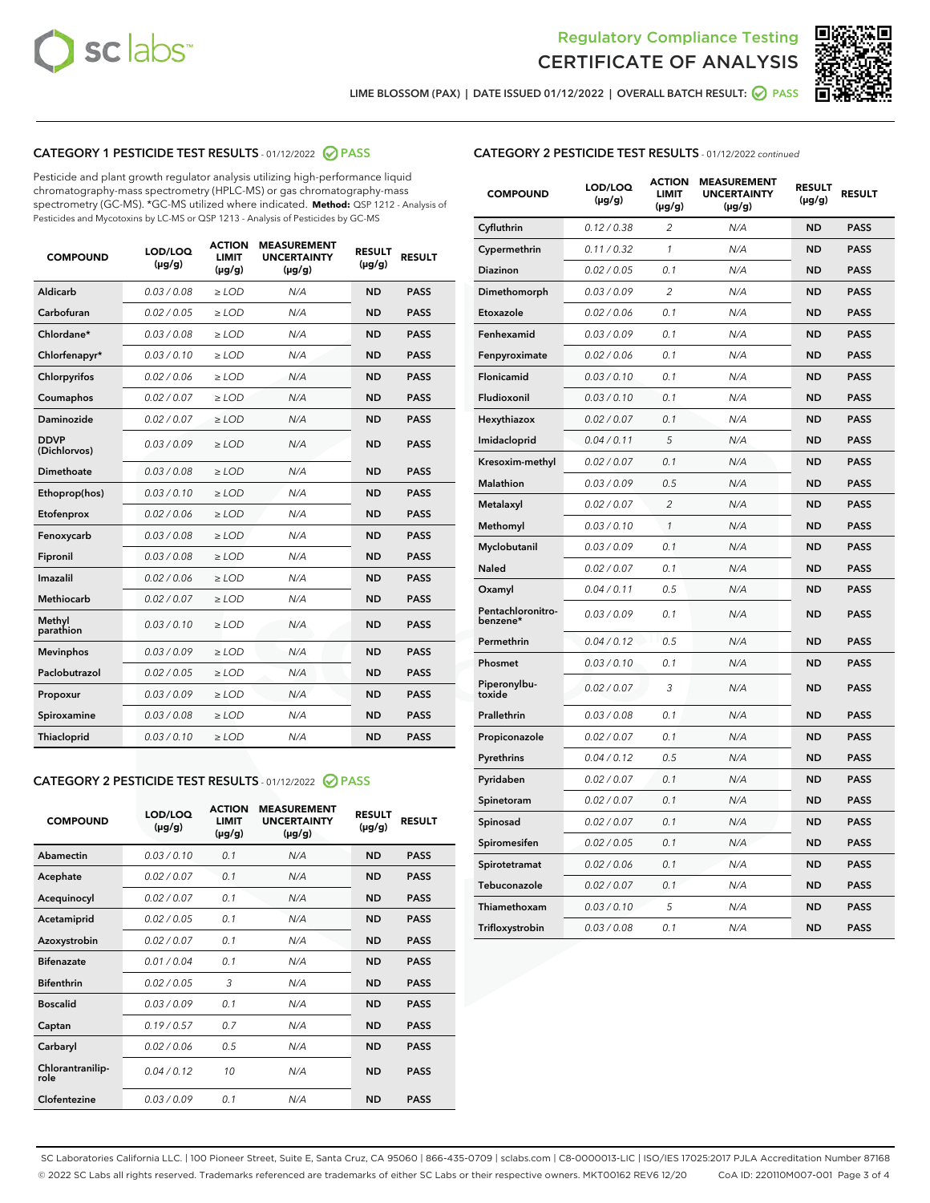



LIME BLOSSOM (PAX) | DATE ISSUED 01/12/2022 | OVERALL BATCH RESULT: Ø PASS

## CATEGORY 1 PESTICIDE TEST RESULTS - 01/12/2022 @ PASS

Pesticide and plant growth regulator analysis utilizing high-performance liquid chromatography-mass spectrometry (HPLC-MS) or gas chromatography-mass spectrometry (GC-MS). \*GC-MS utilized where indicated. **Method:** QSP 1212 - Analysis of Pesticides and Mycotoxins by LC-MS or QSP 1213 - Analysis of Pesticides by GC-MS

| <b>COMPOUND</b>             | LOD/LOQ<br>$(\mu g/g)$ | <b>ACTION</b><br><b>LIMIT</b><br>$(\mu q/q)$ | <b>MEASUREMENT</b><br><b>UNCERTAINTY</b><br>$(\mu g/g)$ | <b>RESULT</b><br>$(\mu g/g)$ | <b>RESULT</b> |
|-----------------------------|------------------------|----------------------------------------------|---------------------------------------------------------|------------------------------|---------------|
| Aldicarb                    | 0.03/0.08              | $\ge$ LOD                                    | N/A                                                     | <b>ND</b>                    | <b>PASS</b>   |
| Carbofuran                  | 0.02 / 0.05            | $\geq$ LOD                                   | N/A                                                     | <b>ND</b>                    | <b>PASS</b>   |
| Chlordane*                  | 0.03 / 0.08            | $\ge$ LOD                                    | N/A                                                     | <b>ND</b>                    | <b>PASS</b>   |
| Chlorfenapyr*               | 0.03/0.10              | $\geq$ LOD                                   | N/A                                                     | <b>ND</b>                    | <b>PASS</b>   |
| Chlorpyrifos                | 0.02 / 0.06            | $\ge$ LOD                                    | N/A                                                     | <b>ND</b>                    | <b>PASS</b>   |
| Coumaphos                   | 0.02 / 0.07            | $\ge$ LOD                                    | N/A                                                     | <b>ND</b>                    | <b>PASS</b>   |
| Daminozide                  | 0.02 / 0.07            | $\ge$ LOD                                    | N/A                                                     | <b>ND</b>                    | <b>PASS</b>   |
| <b>DDVP</b><br>(Dichlorvos) | 0.03/0.09              | $\ge$ LOD                                    | N/A                                                     | <b>ND</b>                    | <b>PASS</b>   |
| Dimethoate                  | 0.03/0.08              | $\ge$ LOD                                    | N/A                                                     | <b>ND</b>                    | <b>PASS</b>   |
| Ethoprop(hos)               | 0.03/0.10              | $\ge$ LOD                                    | N/A                                                     | <b>ND</b>                    | <b>PASS</b>   |
| Etofenprox                  | 0.02/0.06              | $>$ LOD                                      | N/A                                                     | <b>ND</b>                    | <b>PASS</b>   |
| Fenoxycarb                  | 0.03 / 0.08            | $\ge$ LOD                                    | N/A                                                     | <b>ND</b>                    | <b>PASS</b>   |
| Fipronil                    | 0.03/0.08              | $>$ LOD                                      | N/A                                                     | <b>ND</b>                    | <b>PASS</b>   |
| Imazalil                    | 0.02 / 0.06            | $\ge$ LOD                                    | N/A                                                     | <b>ND</b>                    | <b>PASS</b>   |
| Methiocarb                  | 0.02 / 0.07            | $\ge$ LOD                                    | N/A                                                     | <b>ND</b>                    | <b>PASS</b>   |
| Methyl<br>parathion         | 0.03/0.10              | $>$ LOD                                      | N/A                                                     | <b>ND</b>                    | <b>PASS</b>   |
| <b>Mevinphos</b>            | 0.03/0.09              | $>$ LOD                                      | N/A                                                     | <b>ND</b>                    | <b>PASS</b>   |
| Paclobutrazol               | 0.02 / 0.05            | $>$ LOD                                      | N/A                                                     | <b>ND</b>                    | <b>PASS</b>   |
| Propoxur                    | 0.03/0.09              | $\ge$ LOD                                    | N/A                                                     | <b>ND</b>                    | <b>PASS</b>   |
| Spiroxamine                 | 0.03/0.08              | $\ge$ LOD                                    | N/A                                                     | <b>ND</b>                    | <b>PASS</b>   |
| Thiacloprid                 | 0.03/0.10              | $\ge$ LOD                                    | N/A                                                     | <b>ND</b>                    | <b>PASS</b>   |

#### CATEGORY 2 PESTICIDE TEST RESULTS - 01/12/2022 PASS

| <b>COMPOUND</b>          | LOD/LOO<br>$(\mu g/g)$ | <b>ACTION</b><br>LIMIT<br>$(\mu g/g)$ | <b>MEASUREMENT</b><br><b>UNCERTAINTY</b><br>$(\mu g/g)$ | <b>RESULT</b><br>$(\mu g/g)$ | <b>RESULT</b> |
|--------------------------|------------------------|---------------------------------------|---------------------------------------------------------|------------------------------|---------------|
| Abamectin                | 0.03/0.10              | 0.1                                   | N/A                                                     | <b>ND</b>                    | <b>PASS</b>   |
| Acephate                 | 0.02/0.07              | 0.1                                   | N/A                                                     | <b>ND</b>                    | <b>PASS</b>   |
| Acequinocyl              | 0.02/0.07              | 0.1                                   | N/A                                                     | <b>ND</b>                    | <b>PASS</b>   |
| Acetamiprid              | 0.02/0.05              | 0.1                                   | N/A                                                     | <b>ND</b>                    | <b>PASS</b>   |
| Azoxystrobin             | 0.02/0.07              | 0.1                                   | N/A                                                     | <b>ND</b>                    | <b>PASS</b>   |
| <b>Bifenazate</b>        | 0.01/0.04              | 0.1                                   | N/A                                                     | <b>ND</b>                    | <b>PASS</b>   |
| <b>Bifenthrin</b>        | 0.02/0.05              | 3                                     | N/A                                                     | <b>ND</b>                    | <b>PASS</b>   |
| <b>Boscalid</b>          | 0.03/0.09              | 0.1                                   | N/A                                                     | <b>ND</b>                    | <b>PASS</b>   |
| Captan                   | 0.19/0.57              | 0.7                                   | N/A                                                     | <b>ND</b>                    | <b>PASS</b>   |
| Carbaryl                 | 0.02/0.06              | 0.5                                   | N/A                                                     | <b>ND</b>                    | <b>PASS</b>   |
| Chlorantranilip-<br>role | 0.04/0.12              | 10                                    | N/A                                                     | <b>ND</b>                    | <b>PASS</b>   |
| Clofentezine             | 0.03/0.09              | 0.1                                   | N/A                                                     | <b>ND</b>                    | <b>PASS</b>   |

## CATEGORY 2 PESTICIDE TEST RESULTS - 01/12/2022 continued

| <b>COMPOUND</b>               | LOD/LOQ<br>(µg/g) | <b>ACTION</b><br>LIMIT<br>$(\mu g/g)$ | <b>MEASUREMENT</b><br><b>UNCERTAINTY</b><br>$(\mu g/g)$ | <b>RESULT</b><br>(µg/g) | <b>RESULT</b> |
|-------------------------------|-------------------|---------------------------------------|---------------------------------------------------------|-------------------------|---------------|
| Cyfluthrin                    | 0.12 / 0.38       | 2                                     | N/A                                                     | ND                      | <b>PASS</b>   |
| Cypermethrin                  | 0.11 / 0.32       | 1                                     | N/A                                                     | ND                      | <b>PASS</b>   |
| Diazinon                      | 0.02 / 0.05       | 0.1                                   | N/A                                                     | ND                      | <b>PASS</b>   |
| Dimethomorph                  | 0.03 / 0.09       | 2                                     | N/A                                                     | <b>ND</b>               | <b>PASS</b>   |
| Etoxazole                     | 0.02 / 0.06       | 0.1                                   | N/A                                                     | ND                      | <b>PASS</b>   |
| Fenhexamid                    | 0.03 / 0.09       | 0.1                                   | N/A                                                     | ND                      | <b>PASS</b>   |
| Fenpyroximate                 | 0.02 / 0.06       | 0.1                                   | N/A                                                     | ND                      | <b>PASS</b>   |
| Flonicamid                    | 0.03 / 0.10       | 0.1                                   | N/A                                                     | <b>ND</b>               | <b>PASS</b>   |
| Fludioxonil                   | 0.03 / 0.10       | 0.1                                   | N/A                                                     | ND                      | <b>PASS</b>   |
| Hexythiazox                   | 0.02 / 0.07       | 0.1                                   | N/A                                                     | <b>ND</b>               | <b>PASS</b>   |
| Imidacloprid                  | 0.04 / 0.11       | 5                                     | N/A                                                     | <b>ND</b>               | <b>PASS</b>   |
| Kresoxim-methyl               | 0.02 / 0.07       | 0.1                                   | N/A                                                     | <b>ND</b>               | <b>PASS</b>   |
| Malathion                     | 0.03 / 0.09       | 0.5                                   | N/A                                                     | <b>ND</b>               | <b>PASS</b>   |
| Metalaxyl                     | 0.02 / 0.07       | $\overline{c}$                        | N/A                                                     | ND                      | <b>PASS</b>   |
| Methomyl                      | 0.03 / 0.10       | $\mathcal{I}$                         | N/A                                                     | ND                      | PASS          |
| Myclobutanil                  | 0.03 / 0.09       | 0.1                                   | N/A                                                     | <b>ND</b>               | <b>PASS</b>   |
| Naled                         | 0.02 / 0.07       | 0.1                                   | N/A                                                     | <b>ND</b>               | <b>PASS</b>   |
| Oxamyl                        | 0.04 / 0.11       | 0.5                                   | N/A                                                     | ND                      | <b>PASS</b>   |
| Pentachloronitro-<br>benzene* | 0.03 / 0.09       | 0.1                                   | N/A                                                     | <b>ND</b>               | <b>PASS</b>   |
| Permethrin                    | 0.04/0.12         | 0.5                                   | N/A                                                     | <b>ND</b>               | <b>PASS</b>   |
| Phosmet                       | 0.03 / 0.10       | 0.1                                   | N/A                                                     | <b>ND</b>               | PASS          |
| Piperonylbu-<br>toxide        | 0.02 / 0.07       | 3                                     | N/A                                                     | <b>ND</b>               | <b>PASS</b>   |
| Prallethrin                   | 0.03 / 0.08       | 0.1                                   | N/A                                                     | ND                      | <b>PASS</b>   |
| Propiconazole                 | 0.02 / 0.07       | 0.1                                   | N/A                                                     | ND                      | <b>PASS</b>   |
| Pyrethrins                    | 0.04 / 0.12       | 0.5                                   | N/A                                                     | ND                      | PASS          |
| Pyridaben                     | 0.02 / 0.07       | 0.1                                   | N/A                                                     | <b>ND</b>               | <b>PASS</b>   |
| Spinetoram                    | 0.02 / 0.07       | 0.1                                   | N/A                                                     | ND                      | <b>PASS</b>   |
| Spinosad                      | 0.02 / 0.07       | 0.1                                   | N/A                                                     | <b>ND</b>               | PASS          |
| Spiromesifen                  | 0.02 / 0.05       | 0.1                                   | N/A                                                     | ND                      | PASS          |
| Spirotetramat                 | 0.02 / 0.06       | 0.1                                   | N/A                                                     | <b>ND</b>               | <b>PASS</b>   |
| Tebuconazole                  | 0.02 / 0.07       | 0.1                                   | N/A                                                     | ND                      | <b>PASS</b>   |
| Thiamethoxam                  | 0.03 / 0.10       | 5                                     | N/A                                                     | ND                      | <b>PASS</b>   |
| Trifloxystrobin               | 0.03 / 0.08       | 0.1                                   | N/A                                                     | <b>ND</b>               | <b>PASS</b>   |

SC Laboratories California LLC. | 100 Pioneer Street, Suite E, Santa Cruz, CA 95060 | 866-435-0709 | sclabs.com | C8-0000013-LIC | ISO/IES 17025:2017 PJLA Accreditation Number 87168 © 2022 SC Labs all rights reserved. Trademarks referenced are trademarks of either SC Labs or their respective owners. MKT00162 REV6 12/20 CoA ID: 220110M007-001 Page 3 of 4